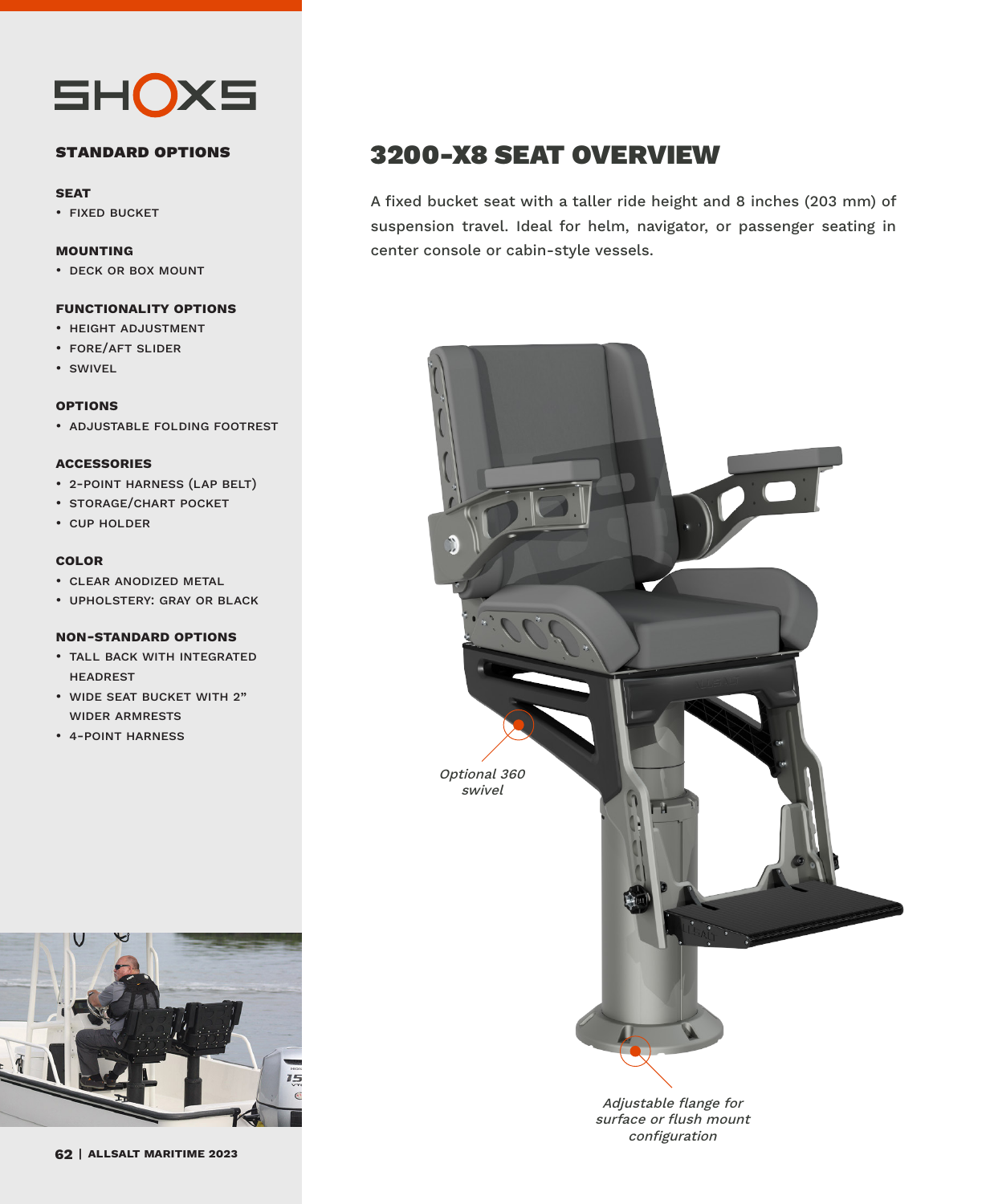

### **standard options**

#### **seat**

• fixed bucket

#### **mounting**

• deck or box mount

#### **functionality options**

- height adjustment
- fore/aft slider
- swivel

#### **options**

• adjustable folding footrest

### **accessories**

- 2-point harness (lap belt)
- storage/chart pocket
- cup holder

### **color**

- clear anodized metal
- upholstery: gray or black

#### **non-standard options**

- tall back with integrated headrest
- wide seat bucket with 2" wider armrests
- 4-point harness



A fixed bucket seat with a taller ride height and 8 inches (203 mm) of suspension travel. Ideal for helm, navigator, or passenger seating in center console or cabin-style vessels.



Adjustable flange for surface or flush mount configuration



**allsalt maritime 2023**